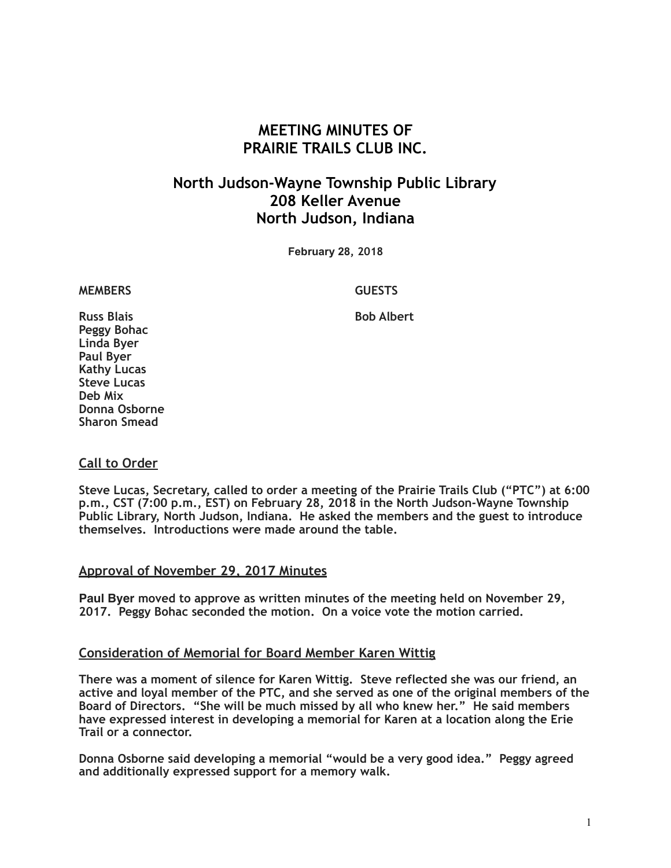# **MEETING MINUTES OF PRAIRIE TRAILS CLUB INC.**

# **North Judson-Wayne Township Public Library 208 Keller Avenue North Judson, Indiana**

**February 28, 2018**

**MEMBERS GUESTS** 

**Russ Blais Bob Albert Bob Albert Peggy Bohac Linda Byer Paul Byer Kathy Lucas Steve Lucas Deb Mix Donna Osborne Sharon Smead**

# **Call to Order**

**Steve Lucas, Secretary, called to order a meeting of the Prairie Trails Club ("PTC") at 6:00 p.m., CST (7:00 p.m., EST) on February 28, 2018 in the North Judson-Wayne Township Public Library, North Judson, Indiana. He asked the members and the guest to introduce themselves. Introductions were made around the table.**

#### **Approval of November 29, 2017 Minutes**

**Paul Byer moved to approve as written minutes of the meeting held on November 29, 2017. Peggy Bohac seconded the motion. On a voice vote the motion carried.**

#### **Consideration of Memorial for Board Member Karen Wittig**

**There was a moment of silence for Karen Wittig. Steve reflected she was our friend, an active and loyal member of the PTC, and she served as one of the original members of the Board of Directors. "She will be much missed by all who knew her." He said members have expressed interest in developing a memorial for Karen at a location along the Erie Trail or a connector.** 

**Donna Osborne said developing a memorial "would be a very good idea." Peggy agreed and additionally expressed support for a memory walk.**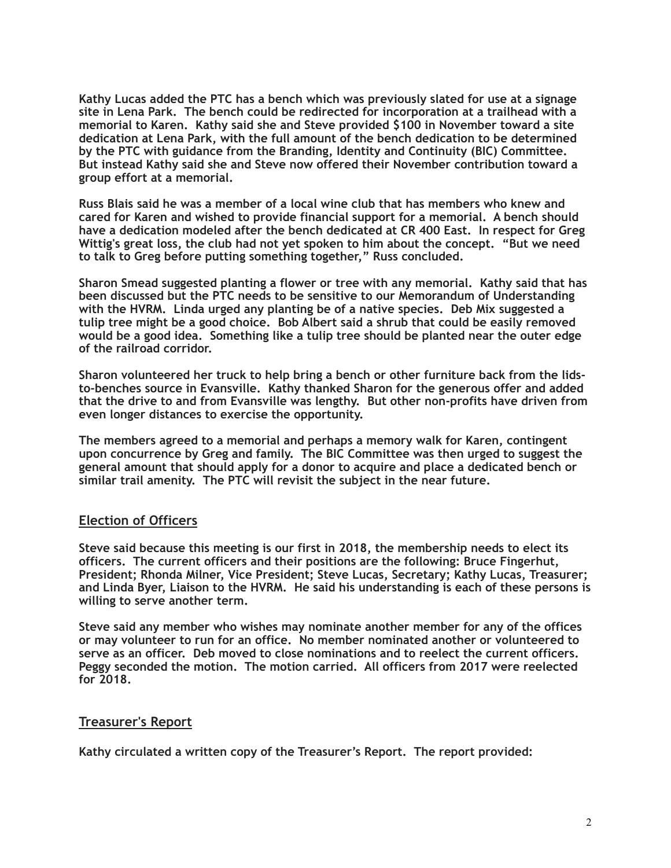**Kathy Lucas added the PTC has a bench which was previously slated for use at a signage site in Lena Park. The bench could be redirected for incorporation at a trailhead with a memorial to Karen. Kathy said she and Steve provided \$100 in November toward a site dedication at Lena Park, with the full amount of the bench dedication to be determined by the PTC with guidance from the Branding, Identity and Continuity (BIC) Committee. But instead Kathy said she and Steve now offered their November contribution toward a group effort at a memorial.** 

**Russ Blais said he was a member of a local wine club that has members who knew and cared for Karen and wished to provide financial support for a memorial. A bench should have a dedication modeled after the bench dedicated at CR 400 East. In respect for Greg Wittig's great loss, the club had not yet spoken to him about the concept. "But we need to talk to Greg before putting something together," Russ concluded.** 

**Sharon Smead suggested planting a flower or tree with any memorial. Kathy said that has been discussed but the PTC needs to be sensitive to our Memorandum of Understanding with the HVRM. Linda urged any planting be of a native species. Deb Mix suggested a tulip tree might be a good choice. Bob Albert said a shrub that could be easily removed would be a good idea. Something like a tulip tree should be planted near the outer edge of the railroad corridor.** 

**Sharon volunteered her truck to help bring a bench or other furniture back from the lidsto-benches source in Evansville. Kathy thanked Sharon for the generous offer and added that the drive to and from Evansville was lengthy. But other non-profits have driven from even longer distances to exercise the opportunity.** 

**The members agreed to a memorial and perhaps a memory walk for Karen, contingent upon concurrence by Greg and family. The BIC Committee was then urged to suggest the general amount that should apply for a donor to acquire and place a dedicated bench or similar trail amenity. The PTC will revisit the subject in the near future.** 

# **Election of Officers**

**Steve said because this meeting is our first in 2018, the membership needs to elect its officers. The current officers and their positions are the following: Bruce Fingerhut, President; Rhonda Milner, Vice President; Steve Lucas, Secretary; Kathy Lucas, Treasurer; and Linda Byer, Liaison to the HVRM. He said his understanding is each of these persons is willing to serve another term.** 

**Steve said any member who wishes may nominate another member for any of the offices or may volunteer to run for an office. No member nominated another or volunteered to serve as an officer. Deb moved to close nominations and to reelect the current officers. Peggy seconded the motion. The motion carried. All officers from 2017 were reelected for 2018.** 

# **Treasurer's Report**

**Kathy circulated a written copy of the Treasurer's Report. The report provided:**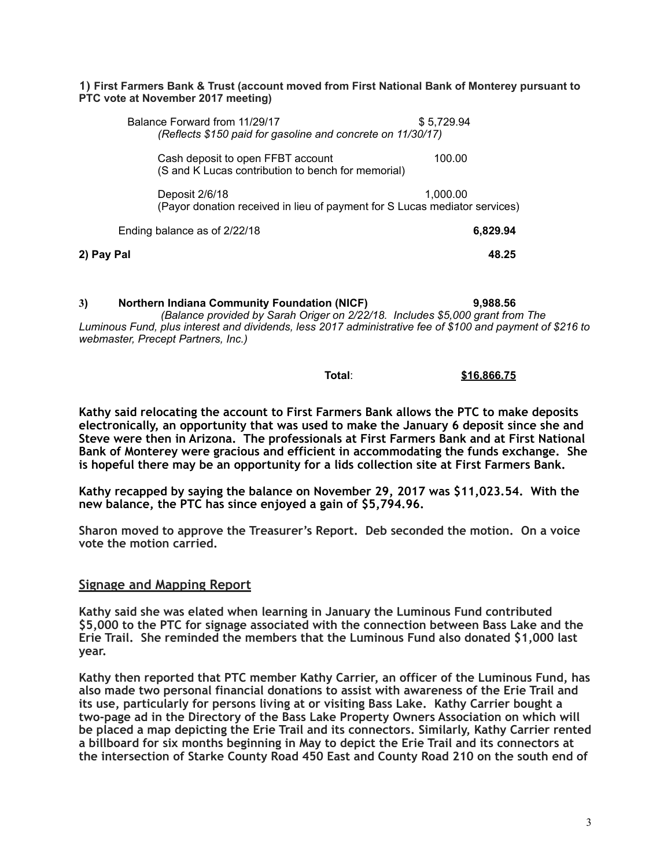#### **1) First Farmers Bank & Trust (account moved from First National Bank of Monterey pursuant to PTC vote at November 2017 meeting)**

| Balance Forward from 11/29/17<br>(Reflects \$150 paid for gasoline and concrete on 11/30/17) | \$5,729.94 |
|----------------------------------------------------------------------------------------------|------------|
| Cash deposit to open FFBT account<br>(S and K Lucas contribution to bench for memorial)      | 100.00     |
| Deposit 2/6/18<br>(Payor donation received in lieu of payment for S Lucas mediator services) | 1.000.00   |
| Ending balance as of 2/22/18                                                                 | 6,829.94   |
| 2) Pay Pal                                                                                   | 48.25      |

**3) Northern Indiana Community Foundation (NICF) 9,988.56** *(Balance provided by Sarah Origer on 2/22/18. Includes \$5,000 grant from The Luminous Fund, plus interest and dividends, less 2017 administrative fee of \$100 and payment of \$216 to webmaster, Precept Partners, Inc.)* 

### **Total**: **\$16,866.75**

**Kathy said relocating the account to First Farmers Bank allows the PTC to make deposits electronically, an opportunity that was used to make the January 6 deposit since she and Steve were then in Arizona. The professionals at First Farmers Bank and at First National Bank of Monterey were gracious and efficient in accommodating the funds exchange. She is hopeful there may be an opportunity for a lids collection site at First Farmers Bank.** 

**Kathy recapped by saying the balance on November 29, 2017 was \$11,023.54. With the new balance, the PTC has since enjoyed a gain of \$5,794.96.** 

**Sharon moved to approve the Treasurer's Report. Deb seconded the motion. On a voice vote the motion carried.** 

#### **Signage and Mapping Report**

**Kathy said she was elated when learning in January the Luminous Fund contributed \$5,000 to the PTC for signage associated with the connection between Bass Lake and the Erie Trail. She reminded the members that the Luminous Fund also donated \$1,000 last year.** 

**Kathy then reported that PTC member Kathy Carrier, an officer of the Luminous Fund, has also made two personal financial donations to assist with awareness of the Erie Trail and its use, particularly for persons living at or visiting Bass Lake. Kathy Carrier bought a two-page ad in the Directory of the Bass Lake Property Owners Association on which will be placed a map depicting the Erie Trail and its connectors. Similarly, Kathy Carrier rented a billboard for six months beginning in May to depict the Erie Trail and its connectors at the intersection of Starke County Road 450 East and County Road 210 on the south end of**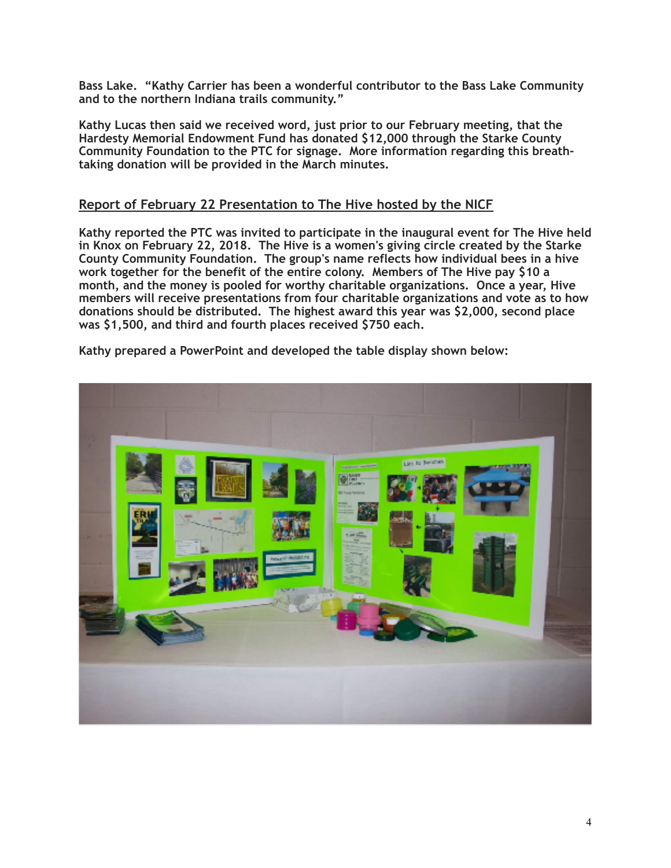**Bass Lake. "Kathy Carrier has been a wonderful contributor to the Bass Lake Community and to the northern Indiana trails community."** 

**Kathy Lucas then said we received word, just prior to our February meeting, that the Hardesty Memorial Endowment Fund has donated \$12,000 through the Starke County Community Foundation to the PTC for signage. More information regarding this breathtaking donation will be provided in the March minutes.** 

# **Report of February 22 Presentation to The Hive hosted by the NICF**

**Kathy reported the PTC was invited to participate in the inaugural event for The Hive held in Knox on February 22, 2018. The Hive is a women's giving circle created by the Starke County Community Foundation. The group's name reflects how individual bees in a hive work together for the benefit of the entire colony. Members of The Hive pay \$10 a month, and the money is pooled for worthy charitable organizations. Once a year, Hive members will receive presentations from four charitable organizations and vote as to how donations should be distributed. The highest award this year was \$2,000, second place was \$1,500, and third and fourth places received \$750 each.**

**Kathy prepared a PowerPoint and developed the table display shown below:** 

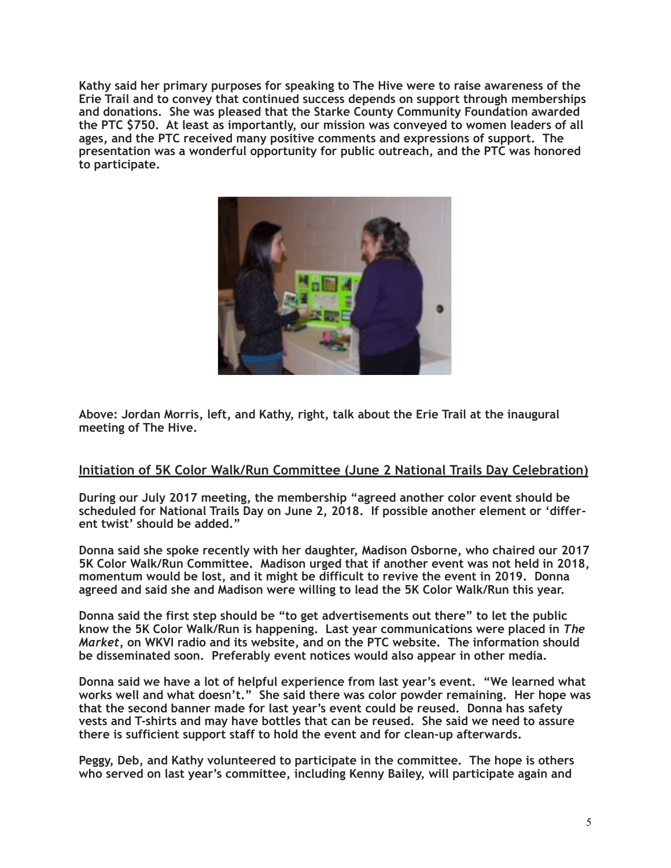**Kathy said her primary purposes for speaking to The Hive were to raise awareness of the Erie Trail and to convey that continued success depends on support through memberships and donations. She was pleased that the Starke County Community Foundation awarded the PTC \$750. At least as importantly, our mission was conveyed to women leaders of all ages, and the PTC received many positive comments and expressions of support. The presentation was a wonderful opportunity for public outreach, and the PTC was honored to participate.** 



**Above: Jordan Morris, left, and Kathy, right, talk about the Erie Trail at the inaugural meeting of The Hive.** 

# **Initiation of 5K Color Walk/Run Committee (June 2 National Trails Day Celebration)**

**During our July 2017 meeting, the membership "agreed another color event should be scheduled for National Trails Day on June 2, 2018. If possible another element or 'different twist' should be added."** 

**Donna said she spoke recently with her daughter, Madison Osborne, who chaired our 2017 5K Color Walk/Run Committee. Madison urged that if another event was not held in 2018, momentum would be lost, and it might be difficult to revive the event in 2019. Donna agreed and said she and Madison were willing to lead the 5K Color Walk/Run this year.** 

**Donna said the first step should be "to get advertisements out there" to let the public know the 5K Color Walk/Run is happening. Last year communications were placed in** *The Market***, on WKVI radio and its website, and on the PTC website. The information should be disseminated soon. Preferably event notices would also appear in other media.** 

**Donna said we have a lot of helpful experience from last year's event. "We learned what works well and what doesn't." She said there was color powder remaining. Her hope was that the second banner made for last year's event could be reused. Donna has safety vests and T-shirts and may have bottles that can be reused. She said we need to assure there is sufficient support staff to hold the event and for clean-up afterwards.** 

**Peggy, Deb, and Kathy volunteered to participate in the committee. The hope is others who served on last year's committee, including Kenny Bailey, will participate again and**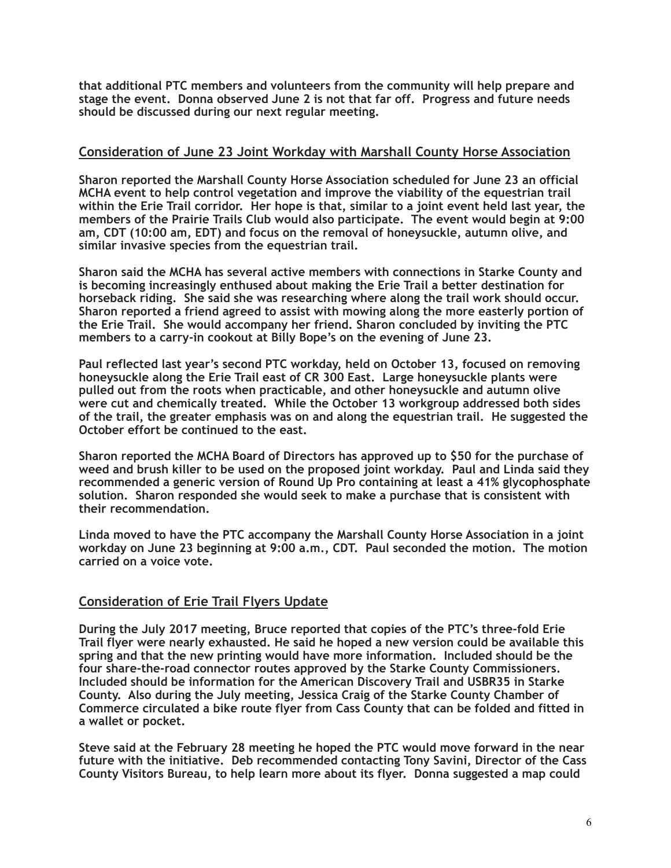**that additional PTC members and volunteers from the community will help prepare and stage the event. Donna observed June 2 is not that far off. Progress and future needs should be discussed during our next regular meeting.** 

# **Consideration of June 23 Joint Workday with Marshall County Horse Association**

**Sharon reported the Marshall County Horse Association scheduled for June 23 an official MCHA event to help control vegetation and improve the viability of the equestrian trail within the Erie Trail corridor. Her hope is that, similar to a joint event held last year, the members of the Prairie Trails Club would also participate. The event would begin at 9:00 am, CDT (10:00 am, EDT) and focus on the removal of honeysuckle, autumn olive, and similar invasive species from the equestrian trail.** 

**Sharon said the MCHA has several active members with connections in Starke County and is becoming increasingly enthused about making the Erie Trail a better destination for horseback riding. She said she was researching where along the trail work should occur. Sharon reported a friend agreed to assist with mowing along the more easterly portion of the Erie Trail. She would accompany her friend. Sharon concluded by inviting the PTC members to a carry-in cookout at Billy Bope's on the evening of June 23.** 

**Paul reflected last year's second PTC workday, held on October 13, focused on removing honeysuckle along the Erie Trail east of CR 300 East. Large honeysuckle plants were pulled out from the roots when practicable, and other honeysuckle and autumn olive were cut and chemically treated. While the October 13 workgroup addressed both sides of the trail, the greater emphasis was on and along the equestrian trail. He suggested the October effort be continued to the east.** 

**Sharon reported the MCHA Board of Directors has approved up to \$50 for the purchase of weed and brush killer to be used on the proposed joint workday. Paul and Linda said they recommended a generic version of Round Up Pro containing at least a 41% glycophosphate solution. Sharon responded she would seek to make a purchase that is consistent with their recommendation.**

**Linda moved to have the PTC accompany the Marshall County Horse Association in a joint workday on June 23 beginning at 9:00 a.m., CDT. Paul seconded the motion. The motion carried on a voice vote.** 

# **Consideration of Erie Trail Flyers Update**

**During the July 2017 meeting, Bruce reported that copies of the PTC's three-fold Erie Trail flyer were nearly exhausted. He said he hoped a new version could be available this spring and that the new printing would have more information. Included should be the four share-the-road connector routes approved by the Starke County Commissioners. Included should be information for the American Discovery Trail and USBR35 in Starke County. Also during the July meeting, Jessica Craig of the Starke County Chamber of Commerce circulated a bike route flyer from Cass County that can be folded and fitted in a wallet or pocket.** 

**Steve said at the February 28 meeting he hoped the PTC would move forward in the near future with the initiative. Deb recommended contacting Tony Savini, Director of the Cass County Visitors Bureau, to help learn more about its flyer. Donna suggested a map could**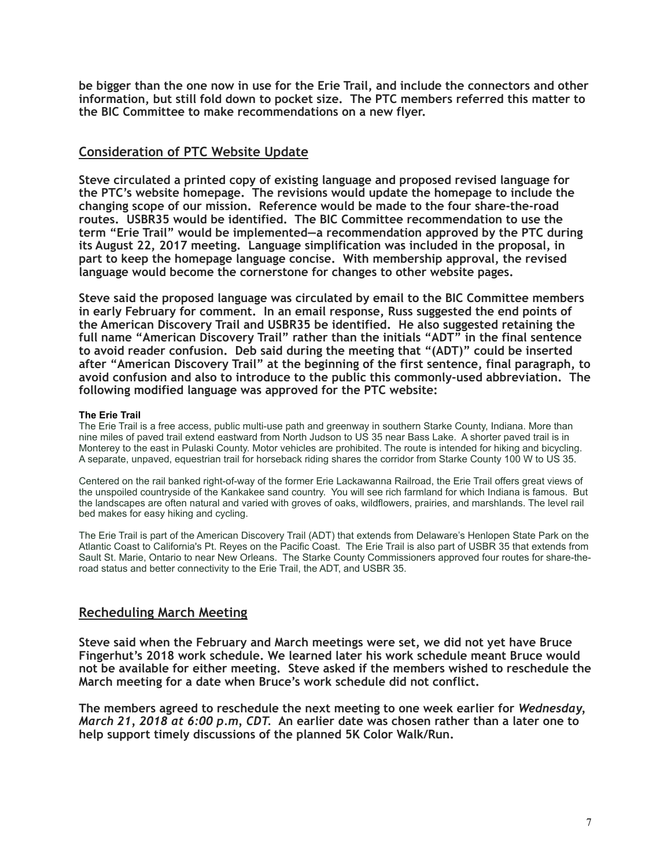**be bigger than the one now in use for the Erie Trail, and include the connectors and other information, but still fold down to pocket size. The PTC members referred this matter to the BIC Committee to make recommendations on a new flyer.** 

# **Consideration of PTC Website Update**

**Steve circulated a printed copy of existing language and proposed revised language for the PTC's website homepage. The revisions would update the homepage to include the changing scope of our mission. Reference would be made to the four share-the-road routes. USBR35 would be identified. The BIC Committee recommendation to use the term "Erie Trail" would be implemented—a recommendation approved by the PTC during its August 22, 2017 meeting. Language simplification was included in the proposal, in part to keep the homepage language concise. With membership approval, the revised language would become the cornerstone for changes to other website pages.** 

**Steve said the proposed language was circulated by email to the BIC Committee members in early February for comment. In an email response, Russ suggested the end points of the American Discovery Trail and USBR35 be identified. He also suggested retaining the full name "American Discovery Trail" rather than the initials "ADT" in the final sentence to avoid reader confusion. Deb said during the meeting that "(ADT)" could be inserted after "American Discovery Trail" at the beginning of the first sentence, final paragraph, to avoid confusion and also to introduce to the public this commonly-used abbreviation. The following modified language was approved for the PTC website:** 

#### **The Erie Trail**

The Erie Trail is a free access, public multi-use path and greenway in southern Starke County, Indiana. More than nine miles of paved trail extend eastward from North Judson to US 35 near Bass Lake. A shorter paved trail is in Monterey to the east in Pulaski County. Motor vehicles are prohibited. The route is intended for hiking and bicycling. A separate, unpaved, equestrian trail for horseback riding shares the corridor from Starke County 100 W to US 35.

Centered on the rail banked right-of-way of the former Erie Lackawanna Railroad, the Erie Trail offers great views of the unspoiled countryside of the Kankakee sand country. You will see rich farmland for which Indiana is famous. But the landscapes are often natural and varied with groves of oaks, wildflowers, prairies, and marshlands. The level rail bed makes for easy hiking and cycling.

The Erie Trail is part of the American Discovery Trail (ADT) that extends from Delaware's Henlopen State Park on the Atlantic Coast to California's Pt. Reyes on the Pacific Coast. The Erie Trail is also part of USBR 35 that extends from Sault St. Marie, Ontario to near New Orleans. The Starke County Commissioners approved four routes for share-theroad status and better connectivity to the Erie Trail, the ADT, and USBR 35.

# **Recheduling March Meeting**

**Steve said when the February and March meetings were set, we did not yet have Bruce Fingerhut's 2018 work schedule. We learned later his work schedule meant Bruce would not be available for either meeting. Steve asked if the members wished to reschedule the March meeting for a date when Bruce's work schedule did not conflict.** 

**The members agreed to reschedule the next meeting to one week earlier for** *Wednesday, March 21, 2018 at 6:00 p.m, CDT.* **An earlier date was chosen rather than a later one to help support timely discussions of the planned 5K Color Walk/Run.**